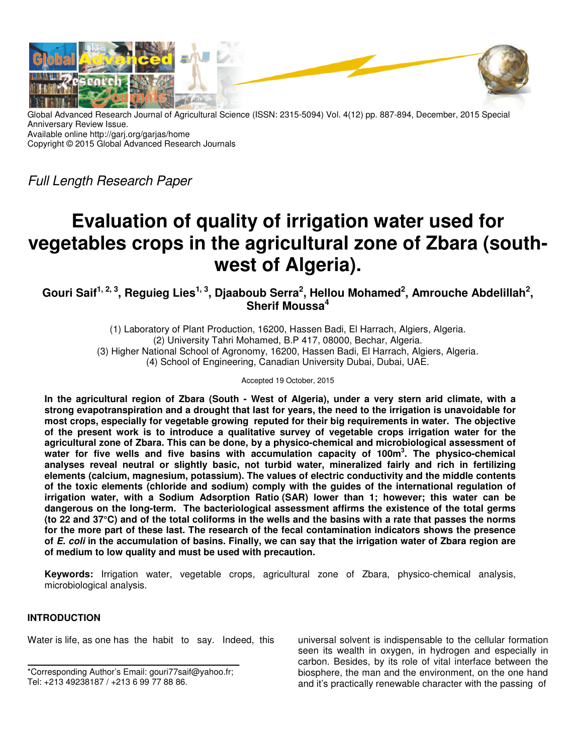

Global Advanced Research Journal of Agricultural Science (ISSN: 2315-5094) Vol. 4(12) pp. 887-894, December, 2015 Special Anniversary Review Issue. Available online http://garj.org/garjas/home Copyright © 2015 Global Advanced Research Journals

Full Length Research Paper

# **Evaluation of quality of irrigation water used for vegetables crops in the agricultural zone of Zbara (southwest of Algeria).**

**Gouri Saif1, 2, 3, Reguieg Lies1, 3, Djaaboub Serra<sup>2</sup> , Hellou Mohamed<sup>2</sup> , Amrouche Abdelillah<sup>2</sup> , Sherif Moussa<sup>4</sup>**

> (1) Laboratory of Plant Production, 16200, Hassen Badi, El Harrach, Algiers, Algeria. (2) University Tahri Mohamed, B.P 417, 08000, Bechar, Algeria. (3) Higher National School of Agronomy, 16200, Hassen Badi, El Harrach, Algiers, Algeria. (4) School of Engineering, Canadian University Dubai, Dubai, UAE.

> > Accepted 19 October, 2015

**In the agricultural region of Zbara (South - West of Algeria), under a very stern arid climate, with a strong evapotranspiration and a drought that last for years, the need to the irrigation is unavoidable for most crops, especially for vegetable growing reputed for their big requirements in water. The objective of the present work is to introduce a qualitative survey of vegetable crops irrigation water for the agricultural zone of Zbara. This can be done, by a physico-chemical and microbiological assessment of water for five wells and five basins with accumulation capacity of 100m<sup>3</sup> . The physico-chemical analyses reveal neutral or slightly basic, not turbid water, mineralized fairly and rich in fertilizing elements (calcium, magnesium, potassium). The values of electric conductivity and the middle contents of the toxic elements (chloride and sodium) comply with the guides of the international regulation of irrigation water, with a Sodium Adsorption Ratio (SAR) lower than 1; however; this water can be dangerous on the long-term. The bacteriological assessment affirms the existence of the total germs (to 22 and 37°C) and of the total coliforms in the wells and the basins with a rate that passes the norms for the more part of these last. The research of the fecal contamination indicators shows the presence of E. coli in the accumulation of basins. Finally, we can say that the irrigation water of Zbara region are of medium to low quality and must be used with precaution.** 

**Keywords:** Irrigation water, vegetable crops, agricultural zone of Zbara, physico-chemical analysis, microbiological analysis.

## **INTRODUCTION**

Water is life, as one has the habit to say. Indeed, this

\*Corresponding Author's Email: gouri77saif@yahoo.fr; Tel: +213 49238187 / +213 6 99 77 88 86.

universal solvent is indispensable to the cellular formation seen its wealth in oxygen, in hydrogen and especially in carbon. Besides, by its role of vital interface between the biosphere, the man and the environment, on the one hand and it's practically renewable character with the passing of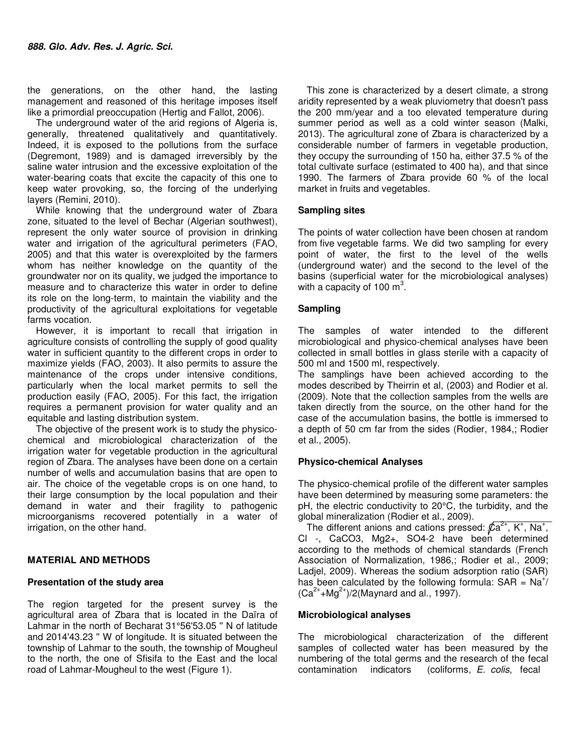the generations, on the other hand, the lasting management and reasoned of this heritage imposes itself like a primordial preoccupation (Hertig and Fallot, 2006).

The underground water of the arid regions of Algeria is, generally, threatened qualitatively and quantitatively. Indeed, it is exposed to the pollutions from the surface (Degremont, 1989) and is damaged irreversibly by the saline water intrusion and the excessive exploitation of the water-bearing coats that excite the capacity of this one to keep water provoking, so, the forcing of the underlying layers (Remini, 2010).

While knowing that the underground water of Zbara zone, situated to the level of Bechar (Algerian southwest), represent the only water source of provision in drinking water and irrigation of the agricultural perimeters (FAO, 2005) and that this water is overexploited by the farmers whom has neither knowledge on the quantity of the groundwater nor on its quality, we judged the importance to measure and to characterize this water in order to define its role on the long-term, to maintain the viability and the productivity of the agricultural exploitations for vegetable farms vocation.

However, it is important to recall that irrigation in agriculture consists of controlling the supply of good quality water in sufficient quantity to the different crops in order to maximize yields (FAO, 2003). It also permits to assure the maintenance of the crops under intensive conditions, particularly when the local market permits to sell the production easily (FAO, 2005). For this fact, the irrigation requires a permanent provision for water quality and an equitable and lasting distribution system.

The objective of the present work is to study the physicochemical and microbiological characterization of the irrigation water for vegetable production in the agricultural region of Zbara. The analyses have been done on a certain number of wells and accumulation basins that are open to air. The choice of the vegetable crops is on one hand, to their large consumption by the local population and their demand in water and their fragility to pathogenic microorganisms recovered potentially in a water of irrigation, on the other hand.

## **MATERIAL AND METHODS**

#### **Presentation of the study area**

The region targeted for the present survey is the agricultural area of Zbara that is located in the Daïra of Lahmar in the north of Becharat 31°56'53.05 '' N of latitude and 2014'43.23 '' W of longitude. It is situated between the township of Lahmar to the south, the township of Mougheul to the north, the one of Sfisifa to the East and the local road of Lahmar-Mougheul to the west (Figure 1).

This zone is characterized by a desert climate, a strong aridity represented by a weak pluviometry that doesn't pass the 200 mm/year and a too elevated temperature during summer period as well as a cold winter season (Malki, 2013). The agricultural zone of Zbara is characterized by a considerable number of farmers in vegetable production, they occupy the surrounding of 150 ha, either 37.5 % of the total cultivate surface (estimated to 400 ha), and that since 1990. The farmers of Zbara provide 60 % of the local market in fruits and vegetables.

#### **Sampling sites**

The points of water collection have been chosen at random from five vegetable farms. We did two sampling for every point of water, the first to the level of the wells (underground water) and the second to the level of the basins (superficial water for the microbiological analyses) with a capacity of 100  $\text{m}^3$ .

## **Sampling**

The samples of water intended to the different microbiological and physico-chemical analyses have been collected in small bottles in glass sterile with a capacity of 500 ml and 1500 ml, respectively.

The samplings have been achieved according to the modes described by Theirrin et al, (2003) and Rodier et al. (2009). Note that the collection samples from the wells are taken directly from the source, on the other hand for the case of the accumulation basins, the bottle is immersed to a depth of 50 cm far from the sides (Rodier, 1984,; Rodier et al., 2005).

## **Physico-chemical Analyses**

The physico-chemical profile of the different water samples have been determined by measuring some parameters: the pH, the electric conductivity to 20°C, the turbidity, and the global mineralization (Rodier et al., 2009).

The different anions and cations pressed:  $\sqrt{2}a^{2+}$ , K<sup>+</sup>, Na<sup>+</sup>, Cl -, CaCO3, Mg2+, SO4-2 have been determined according to the methods of chemical standards (French Association of Normalization, 1986,; Rodier et al., 2009; Ladjel, 2009). Whereas the sodium adsorption ratio (SAR) has been calculated by the following formula:  $SAR = Na^{+}$ /  $(Ca^{2+}+Mg^{2+})/2$ (Maynard and al., 1997).

## **Microbiological analyses**

The microbiological characterization of the different samples of collected water has been measured by the numbering of the total germs and the research of the fecal contamination indicators (coliforms, E. colis, fecal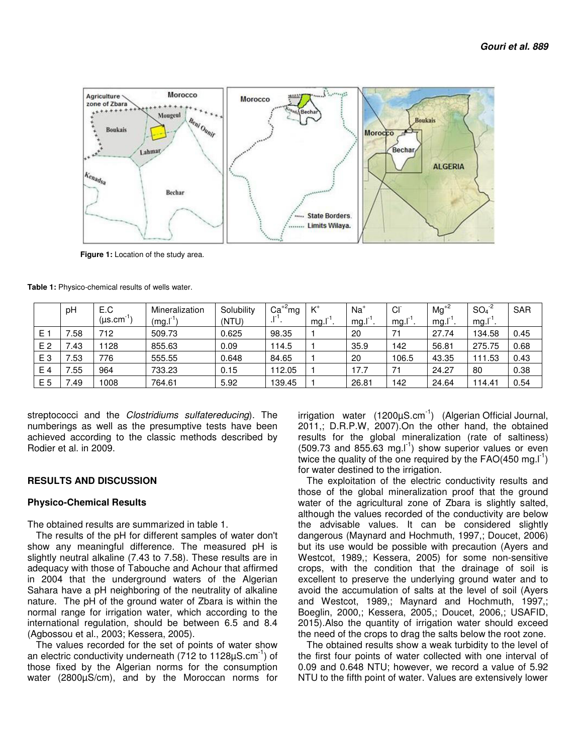

 **Figure 1:** Location of the study area.

|                | рH   | E.C                 | Mineralization | Solubility | $Ca^{+2}mg$ | $K^*$ | $Na+$ | CI <sup>-</sup> | $Mg^{+2}$ | $SO4-2$ | <b>SAR</b> |
|----------------|------|---------------------|----------------|------------|-------------|-------|-------|-----------------|-----------|---------|------------|
|                |      | (µs.cm <sup>-</sup> | (mg.1)         | (NTU)      |             | mg.l  | mg.l  | mg.l            | mg.l      | mg.I    |            |
| E.             | 58.' | 712                 | 509.73         | 0.625      | 98.35       |       | 20    | 71              | 27.74     | 134.58  | 0.45       |
| E <sub>2</sub> | 7.43 | 1128                | 855.63         | 0.09       | 114.5       |       | 35.9  | 142             | 56.81     | 275.75  | 0.68       |
| E <sub>3</sub> | .53  | 776                 | 555.55         | 0.648      | 84.65       |       | 20    | 106.5           | 43.35     | 111.53  | 0.43       |
| E 4            | .55  | 964                 | 733.23         | 0.15       | 112.05      |       | 17.7  | 71              | 24.27     | 80      | 0.38       |
| E 5            | 7.49 | 1008                | 764.61         | 5.92       | 139.45      |       | 26.81 | 142             | 24.64     | 114.41  | 0.54       |

**Table 1:** Physico-chemical results of wells water.

streptococci and the *Clostridiums sulfatereducing*). The numberings as well as the presumptive tests have been achieved according to the classic methods described by Rodier et al. in 2009.

## **RESULTS AND DISCUSSION**

#### **Physico-Chemical Results**

The obtained results are summarized in table 1.

The results of the pH for different samples of water don't show any meaningful difference. The measured pH is slightly neutral alkaline (7.43 to 7.58). These results are in adequacy with those of Tabouche and Achour that affirmed in 2004 that the underground waters of the Algerian Sahara have a pH neighboring of the neutrality of alkaline nature. The pH of the ground water of Zbara is within the normal range for irrigation water, which according to the international regulation, should be between 6.5 and 8.4 (Agbossou et al., 2003; Kessera, 2005).

The values recorded for the set of points of water show an electric conductivity underneath (712 to 1128uS.cm<sup>-1</sup>) of those fixed by the Algerian norms for the consumption water (2800µS/cm), and by the Moroccan norms for

irrigation water  $(1200\mu S.cm^{-1})$  (Algerian Official Journal, 2011,; D.R.P.W, 2007).On the other hand, the obtained results for the global mineralization (rate of saltiness)  $(509.73$  and 855.63 mg. $I<sup>-1</sup>$ ) show superior values or even twice the quality of the one required by the  $FAO(450 \text{ mg.}l^{-1})$ for water destined to the irrigation.

The exploitation of the electric conductivity results and those of the global mineralization proof that the ground water of the agricultural zone of Zbara is slightly salted, although the values recorded of the conductivity are below the advisable values. It can be considered slightly dangerous (Maynard and Hochmuth, 1997,; Doucet, 2006) but its use would be possible with precaution (Ayers and Westcot, 1989,; Kessera, 2005) for some non-sensitive crops, with the condition that the drainage of soil is excellent to preserve the underlying ground water and to avoid the accumulation of salts at the level of soil (Ayers and Westcot, 1989,; Maynard and Hochmuth, 1997,; Boeglin, 2000,; Kessera, 2005,; Doucet, 2006,; USAFID, 2015).Also the quantity of irrigation water should exceed the need of the crops to drag the salts below the root zone.

The obtained results show a weak turbidity to the level of the first four points of water collected with one interval of 0.09 and 0.648 NTU; however, we record a value of 5.92 NTU to the fifth point of water. Values are extensively lower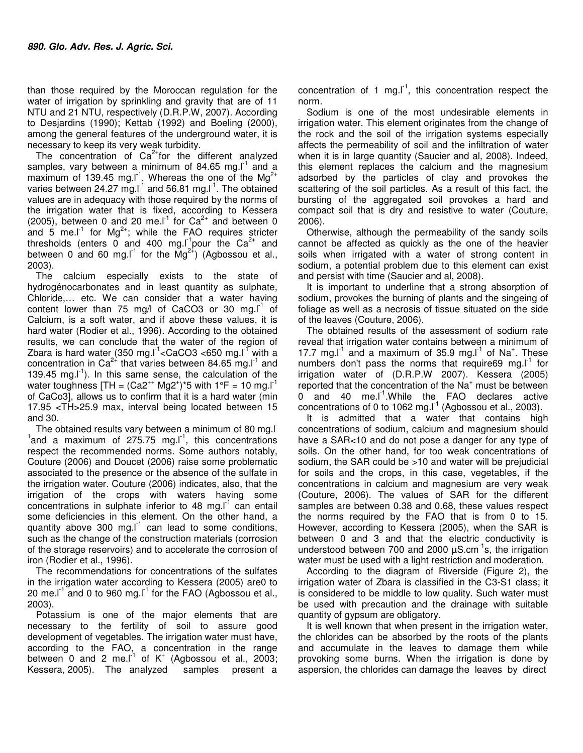than those required by the Moroccan regulation for the water of irrigation by sprinkling and gravity that are of 11 NTU and 21 NTU, respectively (D.R.P.W, 2007). According to Desjardins (1990); Kettab (1992) and Boeling (2000), among the general features of the underground water, it is necessary to keep its very weak turbidity.

The concentration of  $Ca<sup>2+</sup>$  for the different analyzed samples, vary between a minimum of 84.65 mg. $I^1$  and a maximum of 139.45 mg.  $I<sup>1</sup>$ . Whereas the one of the Mg<sup>2+</sup> varies between 24.27 mg. $I^1$  and 56.81 mg. $I^1$ . The obtained values are in adequacy with those required by the norms of the irrigation water that is fixed, according to Kessera (2005), between 0 and 20 me. $I<sup>1</sup>$  for  $Ca<sup>2+</sup>$  and between 0 and 5 me.<sup>11</sup> for Mg<sup>2+</sup>; while the FAO requires stricter thresholds (enters  $\overline{0}$  and 400 mg. I<sup>-1</sup>pour the Ca<sup>2+</sup> and between 0 and 60 mg.  $I^1$  for the Mg<sup>2+</sup>) (Agbossou et al., 2003).

The calcium especially exists to the state of hydrogénocarbonates and in least quantity as sulphate, Chloride,… etc. We can consider that a water having content lower than 75 mg/l of CaCO3 or 30 mg. $I^1$  of Calcium, is a soft water, and if above these values, it is hard water (Rodier et al., 1996). According to the obtained results, we can conclude that the water of the region of Zbara is hard water (350 mg. $I<sup>-1</sup>$ <CaCO3 <650 mg. $I<sup>-1</sup>$  with a concentration in  $Ca^{2+}$  that varies between 84.65 mg.  $I^1$  and 139.45 mg. $\lceil \cdot \rceil$ ). In this same sense, the calculation of the water toughness [TH =  $(Ca2^{++}$  Mg2<sup>+</sup>)\*5 with 1°F = 10 mg.I<sup>-1</sup> of CaCo3], allows us to confirm that it is a hard water (min 17.95 <TH>25.9 max, interval being located between 15 and 30.

The obtained results vary between a minimum of 80 mg.<sup>I-</sup>  $1$  and a maximum of 275.75 mg.I $1$ , this concentrations respect the recommended norms. Some authors notably, Couture (2006) and Doucet (2006) raise some problematic associated to the presence or the absence of the sulfate in the irrigation water. Couture (2006) indicates, also, that the irrigation of the crops with waters having some concentrations in sulphate inferior to 48 mg. $I^1$  can entail some deficiencies in this element. On the other hand, a quantity above 300 mg. $I^1$  can lead to some conditions, such as the change of the construction materials (corrosion of the storage reservoirs) and to accelerate the corrosion of iron (Rodier et al., 1996).

The recommendations for concentrations of the sulfates in the irrigation water according to Kessera (2005) are0 to 20 me.  $I^1$  and 0 to 960 mg.  $I^1$  for the FAO (Agbossou et al., 2003).

Potassium is one of the major elements that are necessary to the fertility of soil to assure good development of vegetables. The irrigation water must have, according to the FAO, a concentration in the range between 0 and 2 me. $I^1$  of K<sup>+</sup> (Agbossou et al., 2003; Kessera, 2005). The analyzed samples present a

concentration of 1 mg. $I^1$ , this concentration respect the norm.

Sodium is one of the most undesirable elements in irrigation water. This element originates from the change of the rock and the soil of the irrigation systems especially affects the permeability of soil and the infiltration of water when it is in large quantity (Saucier and al, 2008). Indeed, this element replaces the calcium and the magnesium adsorbed by the particles of clay and provokes the scattering of the soil particles. As a result of this fact, the bursting of the aggregated soil provokes a hard and compact soil that is dry and resistive to water (Couture, 2006).

Otherwise, although the permeability of the sandy soils cannot be affected as quickly as the one of the heavier soils when irrigated with a water of strong content in sodium, a potential problem due to this element can exist and persist with time (Saucier and al, 2008).

It is important to underline that a strong absorption of sodium, provokes the burning of plants and the singeing of foliage as well as a necrosis of tissue situated on the side of the leaves (Couture, 2006).

The obtained results of the assessment of sodium rate reveal that irrigation water contains between a minimum of 17.7 mg. $I<sup>1</sup>$  and a maximum of 35.9 mg. $I<sup>1</sup>$  of Na<sup>+</sup>. These numbers don't pass the norms that require69 mg. $I^1$  for irrigation water of (D.R.P.W 2007). Kessera (2005) reported that the concentration of the  $Na<sup>+</sup>$  must be between  $0$  and 40 me.I<sup>1</sup>. While the FAO declares active concentrations of 0 to 1062 mg. $I^1$  (Agbossou et al., 2003).

It is admitted that a water that contains high concentrations of sodium, calcium and magnesium should have a SAR<10 and do not pose a danger for any type of soils. On the other hand, for too weak concentrations of sodium, the SAR could be >10 and water will be prejudicial for soils and the crops, in this case, vegetables, if the concentrations in calcium and magnesium are very weak (Couture, 2006). The values of SAR for the different samples are between 0.38 and 0.68, these values respect the norms required by the FAO that is from 0 to 15. However, according to Kessera (2005), when the SAR is between 0 and 3 and that the electric conductivity is understood between 700 and 2000  $\mu$ S.cm<sup>-1</sup>s, the irrigation water must be used with a light restriction and moderation.

According to the diagram of Riverside (Figure 2), the irrigation water of Zbara is classified in the C3-S1 class; it is considered to be middle to low quality. Such water must be used with precaution and the drainage with suitable quantity of gypsum are obligatory.

It is well known that when present in the irrigation water, the chlorides can be absorbed by the roots of the plants and accumulate in the leaves to damage them while provoking some burns. When the irrigation is done by aspersion, the chlorides can damage the leaves by direct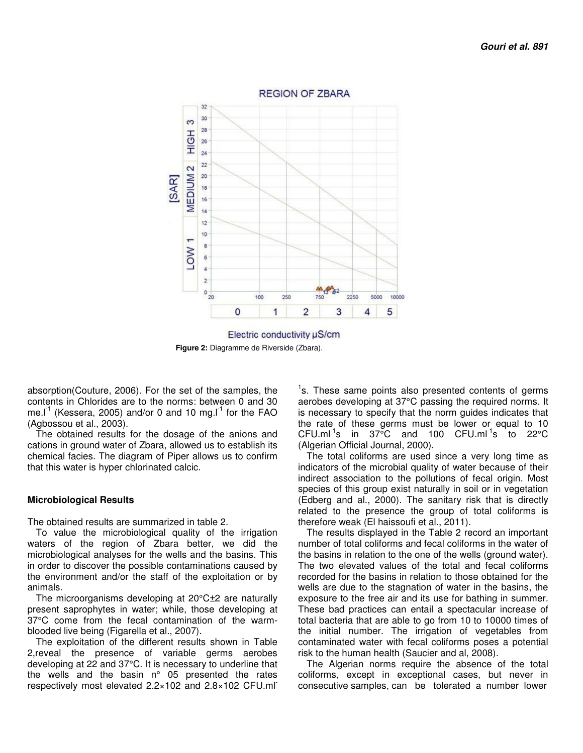

 **Figure 2:** Diagramme de Riverside (Zbara).

absorption(Couture, 2006). For the set of the samples, the contents in Chlorides are to the norms: between 0 and 30 me.l<sup>-1</sup> (Kessera, 2005) and/or 0 and 10 mg.l<sup>-1</sup> for the FAO (Agbossou et al., 2003).

The obtained results for the dosage of the anions and cations in ground water of Zbara, allowed us to establish its chemical facies. The diagram of Piper allows us to confirm that this water is hyper chlorinated calcic.

## **Microbiological Results**

The obtained results are summarized in table 2.

To value the microbiological quality of the irrigation waters of the region of Zbara better, we did the microbiological analyses for the wells and the basins. This in order to discover the possible contaminations caused by the environment and/or the staff of the exploitation or by animals.

The microorganisms developing at 20°C±2 are naturally present saprophytes in water; while, those developing at 37°C come from the fecal contamination of the warmblooded live being (Figarella et al., 2007).

The exploitation of the different results shown in Table 2,reveal the presence of variable germs aerobes developing at 22 and 37°C. It is necessary to underline that the wells and the basin n° 05 presented the rates respectively most elevated 2.2×102 and 2.8×102 CFU.ml<sup>-</sup>

<sup>1</sup>s. These same points also presented contents of germs aerobes developing at 37°C passing the required norms. It is necessary to specify that the norm guides indicates that the rate of these germs must be lower or equal to 10  $CFU.mI<sup>-1</sup>s$  in 37°C and 100  $CFU.mI<sup>-1</sup>s$  to 22°C (Algerian Official Journal, 2000).

The total coliforms are used since a very long time as indicators of the microbial quality of water because of their indirect association to the pollutions of fecal origin. Most species of this group exist naturally in soil or in vegetation (Edberg and al., 2000). The sanitary risk that is directly related to the presence the group of total coliforms is therefore weak (El haissoufi et al., 2011).

The results displayed in the Table 2 record an important number of total coliforms and fecal coliforms in the water of the basins in relation to the one of the wells (ground water). The two elevated values of the total and fecal coliforms recorded for the basins in relation to those obtained for the wells are due to the stagnation of water in the basins, the exposure to the free air and its use for bathing in summer. These bad practices can entail a spectacular increase of total bacteria that are able to go from 10 to 10000 times of the initial number. The irrigation of vegetables from contaminated water with fecal coliforms poses a potential risk to the human health (Saucier and al, 2008).

The Algerian norms require the absence of the total coliforms, except in exceptional cases, but never in consecutive samples, can be tolerated a number lower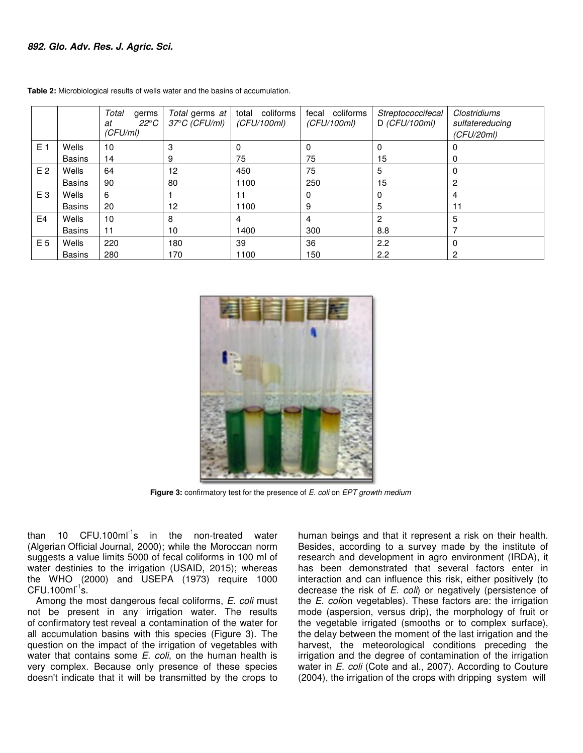|                |               | Total<br>germs<br>$22^{\circ}C$<br>at<br>(CFU/ml) | Total germs at<br>37°C (CFU/ml) | total coliforms<br>(CFU/100ml) | fecal coliforms<br>(CFU/100ml) | Streptococcifecal<br>$D$ (CFU/100ml) | <b>Clostridiums</b><br>sulfatereducing<br>(CFU/20ml) |
|----------------|---------------|---------------------------------------------------|---------------------------------|--------------------------------|--------------------------------|--------------------------------------|------------------------------------------------------|
| E <sub>1</sub> | Wells         | 10                                                | 3                               | 0                              | 0                              |                                      |                                                      |
|                | <b>Basins</b> | 14                                                | 9                               | 75                             | 75                             | 15                                   | 0                                                    |
| E <sub>2</sub> | Wells         | 64                                                | 12                              | 450                            | 75                             | 5                                    | 0                                                    |
|                | <b>Basins</b> | 90                                                | 80                              | 1100                           | 250                            | 15                                   | 2                                                    |
| E <sub>3</sub> | Wells         | 6                                                 |                                 | 11                             | $\Omega$                       |                                      | 4                                                    |
|                | <b>Basins</b> | 20                                                | 12                              | 1100                           | 9                              | 5                                    | 11                                                   |
| E <sub>4</sub> | Wells         | 10                                                | 8                               | 4                              | 4                              | 2                                    | 5                                                    |
|                | <b>Basins</b> | 11                                                | 10                              | 1400                           | 300                            | 8.8                                  |                                                      |
| E 5            | Wells         | 220                                               | 180                             | 39                             | 36                             | 2.2                                  | $\Omega$                                             |
|                | <b>Basins</b> | 280                                               | 170                             | 1100                           | 150                            | 2.2                                  | 2                                                    |

**Table 2:** Microbiological results of wells water and the basins of accumulation.



**Figure 3:** confirmatory test for the presence of E. coli on EPT growth medium

than 10  $CFU.100ml^{-1}s$  in the non-treated water (Algerian Official Journal, 2000); while the Moroccan norm suggests a value limits 5000 of fecal coliforms in 100 ml of water destinies to the irrigation (USAID, 2015); whereas the WHO (2000) and USEPA (1973) require 1000  $CFU.100ml^{-1}s.$ 

Among the most dangerous fecal coliforms, E. coli must not be present in any irrigation water. The results of confirmatory test reveal a contamination of the water for all accumulation basins with this species (Figure 3). The question on the impact of the irrigation of vegetables with water that contains some  $E.$  coli, on the human health is very complex. Because only presence of these species doesn't indicate that it will be transmitted by the crops to

human beings and that it represent a risk on their health. Besides, according to a survey made by the institute of research and development in agro environment (IRDA), it has been demonstrated that several factors enter in interaction and can influence this risk, either positively (to decrease the risk of  $E.$  coli) or negatively (persistence of the E. colion vegetables). These factors are: the irrigation mode (aspersion, versus drip), the morphology of fruit or the vegetable irrigated (smooths or to complex surface), the delay between the moment of the last irrigation and the harvest, the meteorological conditions preceding the irrigation and the degree of contamination of the irrigation water in *E. coli* (Cote and al., 2007). According to Couture (2004), the irrigation of the crops with dripping system will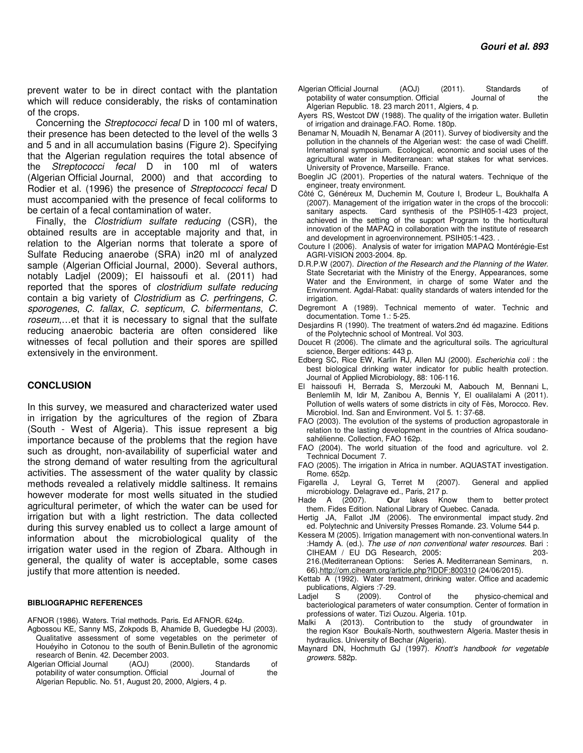prevent water to be in direct contact with the plantation which will reduce considerably, the risks of contamination of the crops.

Concerning the Streptococci fecal D in 100 ml of waters, their presence has been detected to the level of the wells 3 and 5 and in all accumulation basins (Figure 2). Specifying that the Algerian regulation requires the total absence of the Streptococci fecal D in 100 ml of waters (Algerian Official Journal, 2000) and that according to Rodier et al. (1996) the presence of Streptococci fecal D must accompanied with the presence of fecal coliforms to be certain of a fecal contamination of water.

Finally, the Clostridium sulfate reducing (CSR), the obtained results are in acceptable majority and that, in relation to the Algerian norms that tolerate a spore of Sulfate Reducing anaerobe (SRA) in20 ml of analyzed sample (Algerian Official Journal, 2000). Several authors, notably Ladjel (2009); El haissoufi et al. (2011) had reported that the spores of clostridium sulfate reducing contain a big variety of Clostridium as C. perfringens, C. sporogenes, C. fallax, C. septicum, C. bifermentans, C. roseum,…et that it is necessary to signal that the sulfate reducing anaerobic bacteria are often considered like witnesses of fecal pollution and their spores are spilled extensively in the environment.

## **CONCLUSION**

In this survey, we measured and characterized water used in irrigation by the agricultures of the region of Zbara (South - West of Algeria). This issue represent a big importance because of the problems that the region have such as drought, non-availability of superficial water and the strong demand of water resulting from the agricultural activities. The assessment of the water quality by classic methods revealed a relatively middle saltiness. It remains however moderate for most wells situated in the studied agricultural perimeter, of which the water can be used for irrigation but with a light restriction. The data collected during this survey enabled us to collect a large amount of information about the microbiological quality of the irrigation water used in the region of Zbara. Although in general, the quality of water is acceptable, some cases justify that more attention is needed.

#### **BIBLIOGRAPHIC REFERENCES**

AFNOR (1986). Waters. Trial methods. Paris. Ed AFNOR. 624p.

- Agbossou KE, Sanny MS, Zokpods B, Ahamide B, Guedegbe HJ (2003). Qualitative assessment of some vegetables on the perimeter of Houéyiho in Cotonou to the south of Benin.Bulletin of the agronomic research of Benin. 42. December 2003.<br>gerian Official Journal (AOJ) (2000).
- Algerian Official Journal (AOJ) (2000). Standards of character of the consumption Official Journal of the character of the consumption Official potability of water consumption. Official Algerian Republic. No. 51, August 20, 2000, Algiers, 4 p.
- Algerian Official Journal (AOJ) (2011). Standards of potability of water consumption. Official Journal of the potability of water consumption. Official Algerian Republic. 18. 23 march 2011, Algiers, 4 p.
- Ayers RS, Westcot DW (1988). The quality of the irrigation water. Bulletin of irrigation and drainage.FAO. Rome. 180p.
- Benamar N, Mouadih N, Benamar A (2011). Survey of biodiversity and the pollution in the channels of the Algerian west: the case of wadi Cheliff. International symposium. Ecological, economic and social uses of the agricultural water in Mediterranean: what stakes for what services. University of Provence, Marseille. France.
- Boeglin JC (2001). Properties of the natural waters. Technique of the engineer, treaty environment.
- Côté C, Généreux M, Duchemin M, Couture I, Brodeur L, Boukhalfa A (2007). Management of the irrigation water in the crops of the broccoli: sanitary aspects. Card synthesis of the PSIH05-1-423 project, achieved in the setting of the support Program to the horticultural innovation of the MAPAQ in collaboration with the institute of research and development in agroenvironnement. PSIH05:1-423. .
- Couture I (2006). Analysis of water for irrigation MAPAQ Montérégie-Est AGRI-VISION 2003-2004. 8p.
- D.R.P.W (2007). Direction of the Research and the Planning of the Water. State Secretariat with the Ministry of the Energy, Appearances, some Water and the Environment, in charge of some Water and the Environment. Agdal-Rabat: quality standards of waters intended for the irrigation.
- Degremont A (1989). Technical memento of water. Technic and documentation. Tome 1.: 5-25.
- Desjardins R (1990). The treatment of waters.2nd éd magazine. Editions of the Polytechnic school of Montreal. Vol 303.
- Doucet R (2006). The climate and the agricultural soils. The agricultural science, Berger editions: 443 p.
- Edberg SC, Rice EW, Karlin RJ, Allen MJ (2000). Escherichia coli : the best biological drinking water indicator for public health protection. Journal of Applied Microbiology, 88: 106-116.
- El haissoufi H, Berrada S, Merzouki M, Aabouch M, Bennani L, Benlemlih M, Idir M, Zanibou A, Bennis Y, El oualilalami A (2011). Pollution of wells waters of some districts in city of Fès, Morocco. Rev. Microbiol. Ind. San and Environment. Vol 5. 1: 37-68.
- FAO (2003). The evolution of the systems of production agropastorale in relation to the lasting development in the countries of Africa soudanosahélienne. Collection, FAO 162p.
- FAO (2004). The world situation of the food and agriculture. vol 2. Technical Document 7.
- FAO (2005). The irrigation in Africa in number. AQUASTAT investigation. Rome. 652p.
- Figarella J, Leyral G, Terret M (2007). General and applied microbiology. Delagrave ed., Paris, 217 p.<br>Hade A (2007). **Our** lakes Kno
- Our lakes Know them to better protect them. Fides Edition. National Library of Quebec. Canada.
- Hertig JA, Fallot JM (2006). The environmental impact study. 2nd ed. Polytechnic and University Presses Romande. 23. Volume 544 p.
- Kessera M (2005). Irrigation management with non-conventional waters.In :Hamdy A. (ed.). The use of non conventional water resources. Bari : CIHEAM / EU DG Research, 2005: 203-216.(Mediterranean Options: Series A. Mediterranean Seminars, n. 66).http://om.ciheam.org/article.php?IDDF:800310 (24/06/2015).
- Kettab A (1992). Water treatment, drinking water. Office and academic
- publications, Algiers :7-29.<br>
diel S (2009). Control of Ladjel S (2009). Control of the physico-chemical and bacteriological parameters of water consumption. Center of formation in professions of water. Tizi Ouzou. Algeria. 101p.
- Malki A (2013). Contribution to the study of groundwater in the region Ksor Boukaïs-North, southwestern Algeria. Master thesis in hydraulics. University of Bechar (Algeria).
- Maynard DN, Hochmuth GJ (1997). Knott's handbook for vegetable growers. 582p.